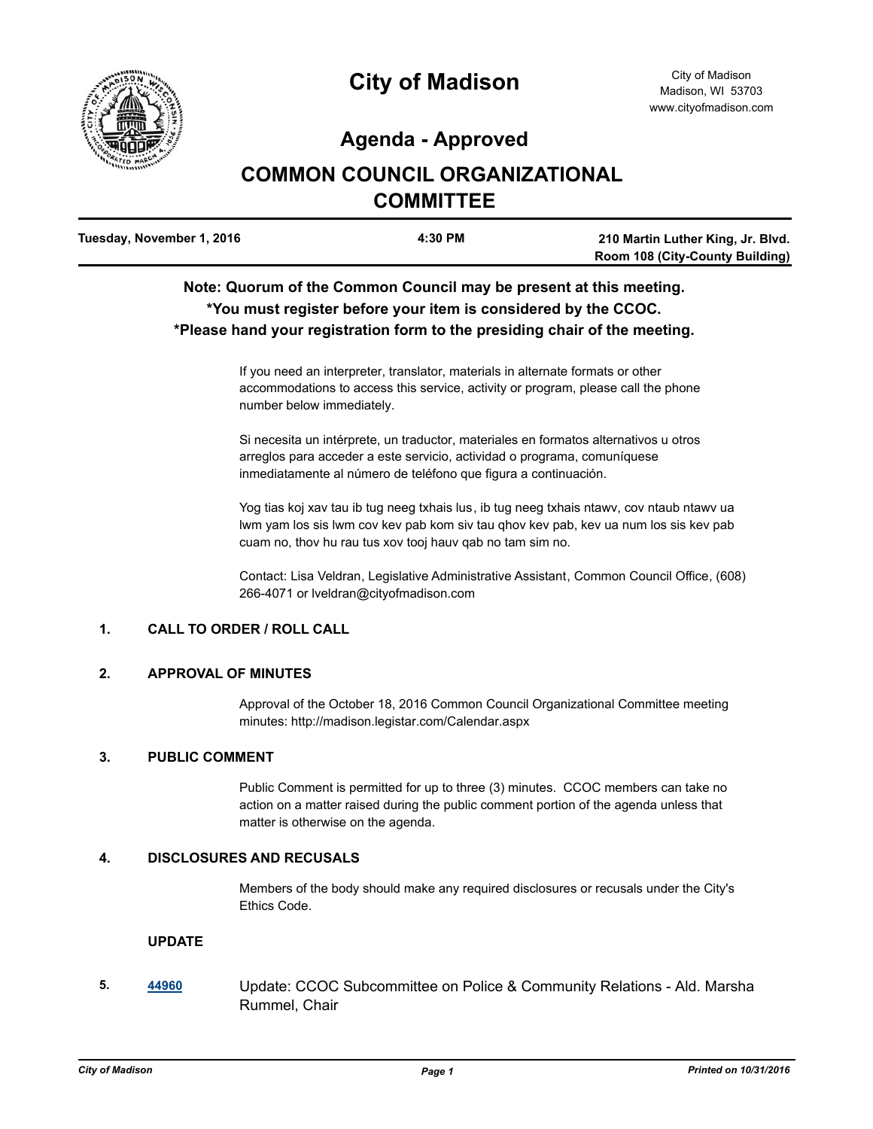

# **City of Madison**

### **Agenda - Approved**

## **COMMON COUNCIL ORGANIZATIONAL COMMITTEE**

| Tuesday, November 1, 2016 | 4:30 PM | 210 Martin Luther King, Jr. Blvd.      |
|---------------------------|---------|----------------------------------------|
|                           |         | <b>Room 108 (City-County Building)</b> |

### **Note: Quorum of the Common Council may be present at this meeting. \*You must register before your item is considered by the CCOC. \*Please hand your registration form to the presiding chair of the meeting.**

If you need an interpreter, translator, materials in alternate formats or other accommodations to access this service, activity or program, please call the phone number below immediately.

Si necesita un intérprete, un traductor, materiales en formatos alternativos u otros arreglos para acceder a este servicio, actividad o programa, comuníquese inmediatamente al número de teléfono que figura a continuación.

Yog tias koj xav tau ib tug neeg txhais lus, ib tug neeg txhais ntawv, cov ntaub ntawv ua lwm yam los sis lwm cov kev pab kom siv tau qhov kev pab, kev ua num los sis kev pab cuam no, thov hu rau tus xov tooj hauv qab no tam sim no.

Contact: Lisa Veldran, Legislative Administrative Assistant, Common Council Office, (608) 266-4071 or lveldran@cityofmadison.com

#### **1. CALL TO ORDER / ROLL CALL**

#### **2. APPROVAL OF MINUTES**

Approval of the October 18, 2016 Common Council Organizational Committee meeting minutes: http://madison.legistar.com/Calendar.aspx

#### **3. PUBLIC COMMENT**

Public Comment is permitted for up to three (3) minutes. CCOC members can take no action on a matter raised during the public comment portion of the agenda unless that matter is otherwise on the agenda.

#### **4. DISCLOSURES AND RECUSALS**

Members of the body should make any required disclosures or recusals under the City's Ethics Code.

#### **UPDATE**

**5. [44960](http://madison.legistar.com/gateway.aspx?m=l&id=/matter.aspx?key=49082)** Update: CCOC Subcommittee on Police & Community Relations - Ald. Marsha Rummel, Chair